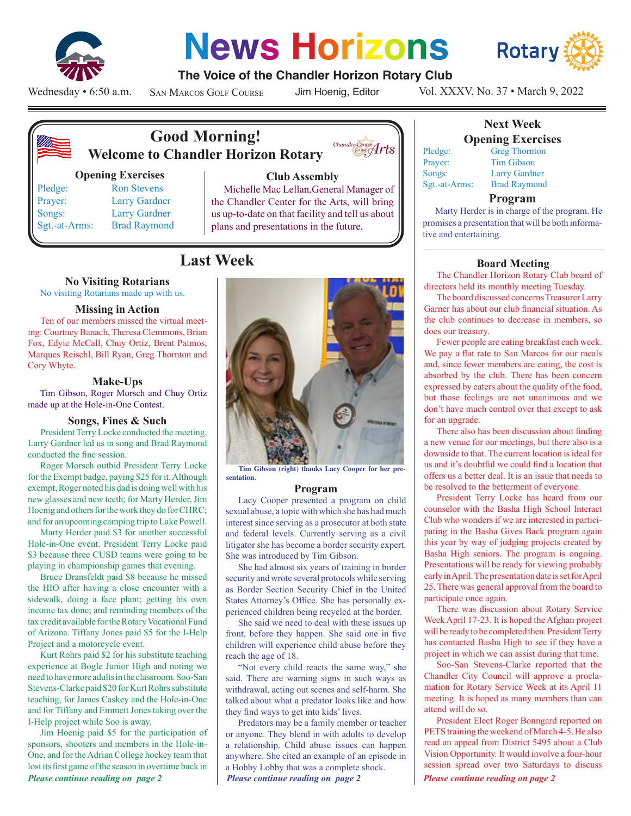

# **News Horizons**



# **The Voice of the Chandler Horizon Rotary Club**

Wednesday • 6:50 a.m.

San Marcos Golf Course

Jim Hoenig, Editor

 $\overbrace{\text{!for the }\atop\text{for the }\atop}\n\overbrace{\text{171S}}$ 



# **Good Morning! Welcome to Chandler Horizon Rotary**

#### **Opening Exercises**

Pledge: Ron Stevens Prayer: Larry Gardner Songs: Larry Gardner Sgt.-at-Arms: Brad Raymond

# **Club Assembly**

Michelle Mac Lellan,General Manager of the Chandler Center for the Arts, will bring us up-to-date on that facility and tell us about plans and presentations in the future.

# **Last Week**

# **No Visiting Rotarians**

No visiting Rotarians made up with us.

#### **Missing in Action**

Ten of our members missed the virtual meeting: Courtney Banach, Theresa Clemmons, Brian Fox, Edyie McCall, Chuy Ortiz, Brent Patmos, Marques Reischl, Bill Ryan, Greg Thornton and Cory Whyte.

## **Make-Ups**

Tim Gibson, Roger Morsch and Chuy Ortiz made up at the Hole-in-One Contest.

#### **Songs, Fines & Such**

President Terry Locke conducted the meeting, Larry Gardner led us in song and Brad Raymond conducted the fine session.

Roger Morsch outbid President Terry Locke for the Exempt badge, paying \$25 for it. Although exempt, Roger noted his dad is doing well with his new glasses and new teeth; for Marty Herder, Jim Hoenig and others for the work they do for CHRC; and for an upcoming camping trip to Lake Powell.

Marty Herder paid \$3 for another successful Hole-in-One event. President Terry Locke paid \$3 because three CUSD teams were going to be playing in championship games that evening.

Bruce Dransfeldt paid \$8 because he missed the HIO after having a close encounter with a sidewalk, doing a face plant; getting his own income tax done; and reminding members of the tax credit available for the Rotary Vocational Fund of Arizona. Tiffany Jones paid \$5 for the I-Help Project and a motorcycle event.

Kurt Rohrs paid \$2 for his substitute teaching experience at Bogle Junior High and noting we need to have more adults in the classroom. Soo-San Stevens-Clarke paid \$20 for Kurt Rohrs substitute teaching, for James Caskey and the Hole-in-One and for Tiffany and Emmett Jones taking over the I-Help project while Soo is away.

*Please continue reading on page 2 Please continue reading on page 2 Please continue reading on page 2* Jim Hoenig paid \$5 for the participation of sponsors, shooters and members in the Hole-in-One, and for the Adrian College hockey team that lost its first game of the season in overtime back in



**Tim Gibson (right) thanks Lacy Cooper for her presentation.**

#### **Program**

Lacy Cooper presented a program on child sexual abuse, a topic with which she has had much interest since serving as a prosecutor at both state and federal levels. Currently serving as a civil litigator she has become a border security expert. She was introduced by Tim Gibson.

She had almost six years of training in border security and wrote several protocols while serving as Border Section Security Chief in the United States Attorney's Office. She has personally experienced children being recycled at the border.

She said we need to deal with these issues up front, before they happen. She said one in five children will experience child abuse before they reach the age of 18.

"Not every child reacts the same way," she said. There are warning signs in such ways as withdrawal, acting out scenes and self-harm. She talked about what a predator looks like and how they find ways to get into kids' lives.

Predators may be a family member or teacher or anyone. They blend in with adults to develop a relationship. Child abuse issues can happen anywhere. She cited an example of an episode in a Hobby Lobby that was a complete shock.

# Vol. XXXV, No. 37 • March 9, 2022

**Opening Exercises** Pledge: Greg Thornton Prayer: Tim Gibson Songs: Larry Gardner Sgt.-at-Arms: Brad Raymond

#### **Program**

**Next Week**

Marty Herder is in charge of the program. He promises a presentation that will be both informative and entertaining.

## **Board Meeting**

The Chandler Horizon Rotary Club board of directors held its monthly meeting Tuesday.

The board discussed concerns Treasurer Larry Garner has about our club financial situation. As the club continues to decrease in members, so does our treasury.

Fewer people are eating breakfast each week. We pay a flat rate to San Marcos for our meals and, since fewer members are eating, the cost is absorbed by the club. There has been concern expressed by eaters about the quality of the food, but those feelings are not unanimous and we don't have much control over that except to ask for an upgrade.

There also has been discussion about finding a new venue for our meetings, but there also is a downside to that. The current location is ideal for us and it's doubtful we could find a location that offers us a better deal. It is an issue that needs to be resolved to the betterment of everyone.

President Terry Locke has heard from our counselor with the Basha High School Interact Club who wonders if we are interested in participating in the Basha Gives Back program again this year by way of judging projects created by Basha High seniors. The program is ongoing. Presentations will be ready for viewing probably early in April. The presentation date is set for April 25. There was general approval from the board to participate once again.

There was discussion about Rotary Service Week April 17-23. It is hoped the Afghan project will be ready to be completed then. President Terry has contacted Basha High to see if they have a project in which we can assist during that time.

Soo-San Stevens-Clarke reported that the Chandler City Council will approve a proclamation for Rotary Service Week at its April 11 meeting. It is hoped as many members than can attend will do so.

President Elect Roger Bonngard reported on PETS training the weekend of March 4-5. He also read an appeal from District 5495 about a Club Vision Opportunity. It would involve a four-hour session spread over two Saturdays to discuss